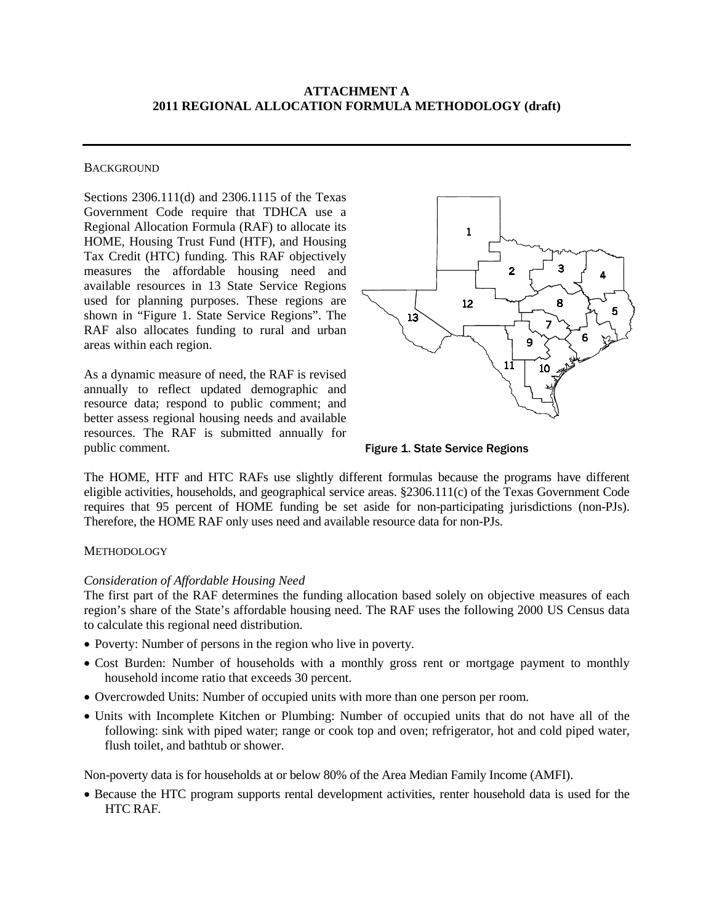## **ATTACHMENT A 2011 REGIONAL ALLOCATION FORMULA METHODOLOGY (draft)**

#### **BACKGROUND**

Sections 2306.111(d) and 2306.1115 of the Texas Government Code require that TDHCA use a Regional Allocation Formula (RAF) to allocate its HOME, Housing Trust Fund (HTF), and Housing Tax Credit (HTC) funding. This RAF objectively measures the affordable housing need and available resources in 13 State Service Regions used for planning purposes. These regions are shown in "Figure 1. State Service Regions". The RAF also allocates funding to rural and urban areas within each region.

As a dynamic measure of need, the RAF is revised annually to reflect updated demographic and resource data; respond to public comment; and better assess regional housing needs and available resources. The RAF is submitted annually for public comment.



Figure 1. State Service Regions

The HOME, HTF and HTC RAFs use slightly different formulas because the programs have different eligible activities, households, and geographical service areas. §2306.111(c) of the Texas Government Code requires that 95 percent of HOME funding be set aside for non-participating jurisdictions (non-PJs). Therefore, the HOME RAF only uses need and available resource data for non-PJs.

### **METHODOLOGY**

### *Consideration of Affordable Housing Need*

The first part of the RAF determines the funding allocation based solely on objective measures of each region's share of the State's affordable housing need. The RAF uses the following 2000 US Census data to calculate this regional need distribution.

- Poverty: Number of persons in the region who live in poverty.
- Cost Burden: Number of households with a monthly gross rent or mortgage payment to monthly household income ratio that exceeds 30 percent.
- Overcrowded Units: Number of occupied units with more than one person per room.
- Units with Incomplete Kitchen or Plumbing: Number of occupied units that do not have all of the following: sink with piped water; range or cook top and oven; refrigerator, hot and cold piped water, flush toilet, and bathtub or shower.

Non-poverty data is for households at or below 80% of the Area Median Family Income (AMFI).

• Because the HTC program supports rental development activities, renter household data is used for the HTC RAF.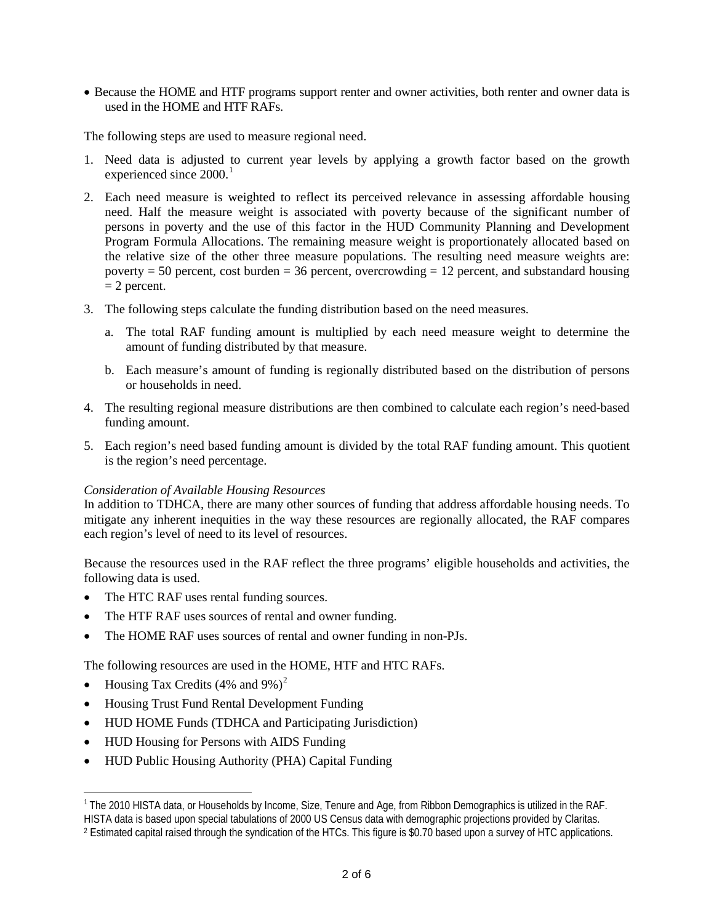• Because the HOME and HTF programs support renter and owner activities, both renter and owner data is used in the HOME and HTF RAFs.

The following steps are used to measure regional need.

- 1. Need data is adjusted to current year levels by applying a growth factor based on the growth experienced since 2000.<sup>[1](#page-1-0)</sup>
- 2. Each need measure is weighted to reflect its perceived relevance in assessing affordable housing need. Half the measure weight is associated with poverty because of the significant number of persons in poverty and the use of this factor in the HUD Community Planning and Development Program Formula Allocations. The remaining measure weight is proportionately allocated based on the relative size of the other three measure populations. The resulting need measure weights are: poverty  $= 50$  percent, cost burden  $= 36$  percent, overcrowding  $= 12$  percent, and substandard housing  $= 2$  percent.
- 3. The following steps calculate the funding distribution based on the need measures.
	- a. The total RAF funding amount is multiplied by each need measure weight to determine the amount of funding distributed by that measure.
	- b. Each measure's amount of funding is regionally distributed based on the distribution of persons or households in need.
- 4. The resulting regional measure distributions are then combined to calculate each region's need-based funding amount.
- 5. Each region's need based funding amount is divided by the total RAF funding amount. This quotient is the region's need percentage.

## *Consideration of Available Housing Resources*

In addition to TDHCA, there are many other sources of funding that address affordable housing needs. To mitigate any inherent inequities in the way these resources are regionally allocated, the RAF compares each region's level of need to its level of resources.

Because the resources used in the RAF reflect the three programs' eligible households and activities, the following data is used.

- The HTC RAF uses rental funding sources.
- The HTF RAF uses sources of rental and owner funding.
- The HOME RAF uses sources of rental and owner funding in non-PJs.

The following resources are used in the HOME, HTF and HTC RAFs.

• Housing Tax Credits  $(4\% \text{ and } 9\%)^2$  $(4\% \text{ and } 9\%)^2$ 

 $\overline{a}$ 

- Housing Trust Fund Rental Development Funding
- HUD HOME Funds (TDHCA and Participating Jurisdiction)
- HUD Housing for Persons with AIDS Funding
- HUD Public Housing Authority (PHA) Capital Funding

<span id="page-1-0"></span><sup>&</sup>lt;sup>1</sup> The 2010 HISTA data, or Households by Income, Size, Tenure and Age, from Ribbon Demographics is utilized in the RAF. HISTA data is based upon special tabulations of 2000 US Census data with demographic projections provided by Claritas.

<span id="page-1-1"></span><sup>2</sup> Estimated capital raised through the syndication of the HTCs. This figure is \$0.70 based upon a survey of HTC applications.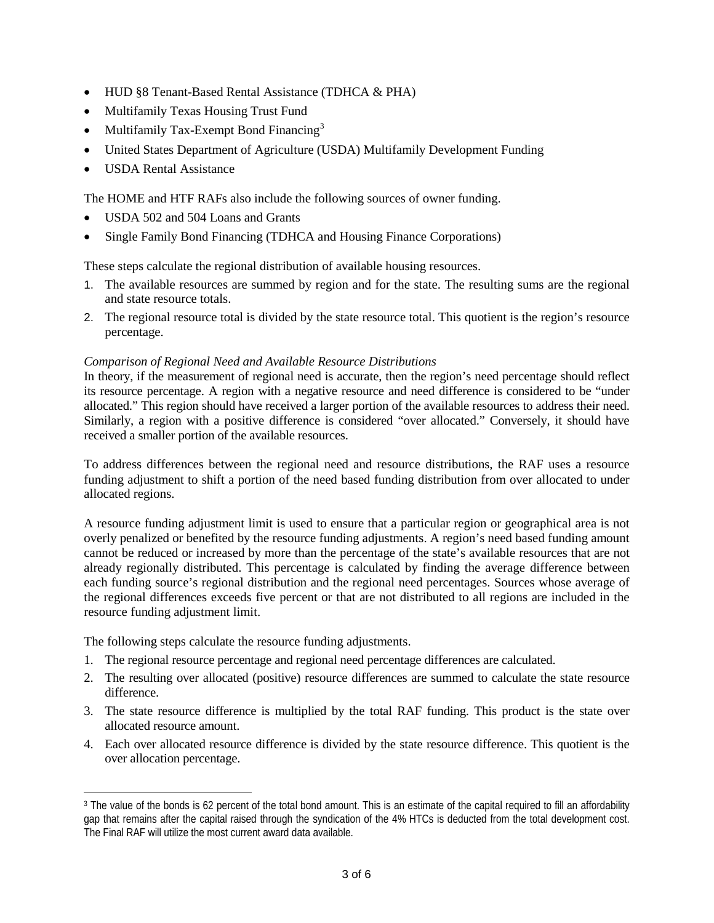- HUD §8 Tenant-Based Rental Assistance (TDHCA & PHA)
- Multifamily Texas Housing Trust Fund
- Multifamily Tax-Exempt Bond Financing<sup>[3](#page-2-0)</sup>
- United States Department of Agriculture (USDA) Multifamily Development Funding
- USDA Rental Assistance

The HOME and HTF RAFs also include the following sources of owner funding.

- USDA 502 and 504 Loans and Grants
- Single Family Bond Financing (TDHCA and Housing Finance Corporations)

These steps calculate the regional distribution of available housing resources.

- 1. The available resources are summed by region and for the state. The resulting sums are the regional and state resource totals.
- 2. The regional resource total is divided by the state resource total. This quotient is the region's resource percentage.

## *Comparison of Regional Need and Available Resource Distributions*

In theory, if the measurement of regional need is accurate, then the region's need percentage should reflect its resource percentage. A region with a negative resource and need difference is considered to be "under allocated." This region should have received a larger portion of the available resources to address their need. Similarly, a region with a positive difference is considered "over allocated." Conversely, it should have received a smaller portion of the available resources.

To address differences between the regional need and resource distributions, the RAF uses a resource funding adjustment to shift a portion of the need based funding distribution from over allocated to under allocated regions.

A resource funding adjustment limit is used to ensure that a particular region or geographical area is not overly penalized or benefited by the resource funding adjustments. A region's need based funding amount cannot be reduced or increased by more than the percentage of the state's available resources that are not already regionally distributed. This percentage is calculated by finding the average difference between each funding source's regional distribution and the regional need percentages. Sources whose average of the regional differences exceeds five percent or that are not distributed to all regions are included in the resource funding adjustment limit.

The following steps calculate the resource funding adjustments.

 $\overline{a}$ 

- 1. The regional resource percentage and regional need percentage differences are calculated.
- 2. The resulting over allocated (positive) resource differences are summed to calculate the state resource difference.
- 3. The state resource difference is multiplied by the total RAF funding. This product is the state over allocated resource amount.
- 4. Each over allocated resource difference is divided by the state resource difference. This quotient is the over allocation percentage.

<span id="page-2-0"></span><sup>&</sup>lt;sup>3</sup> The value of the bonds is 62 percent of the total bond amount. This is an estimate of the capital required to fill an affordability gap that remains after the capital raised through the syndication of the 4% HTCs is deducted from the total development cost. The Final RAF will utilize the most current award data available.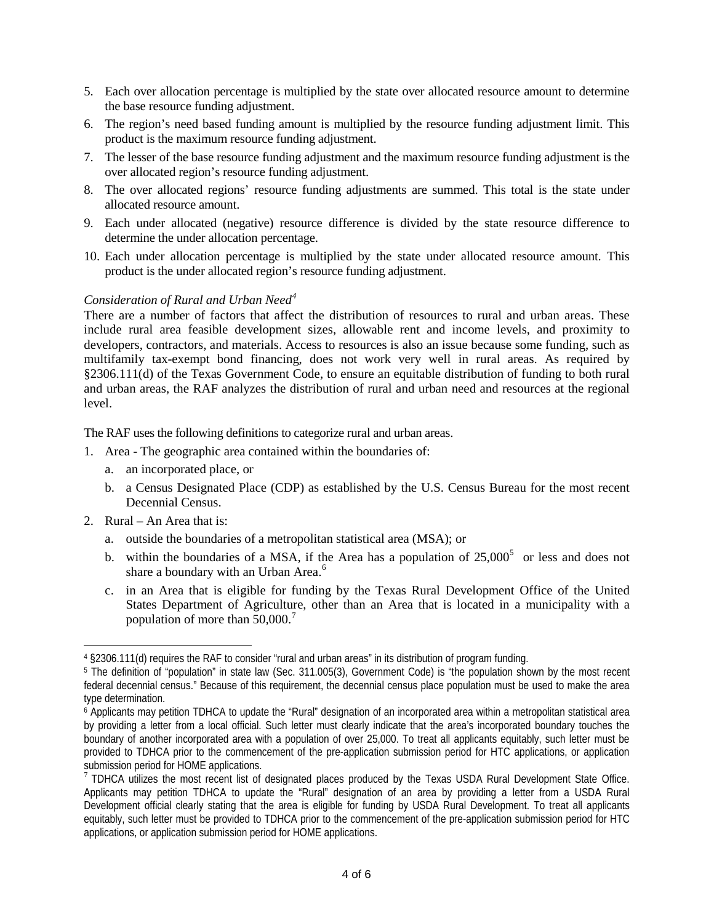- 5. Each over allocation percentage is multiplied by the state over allocated resource amount to determine the base resource funding adjustment.
- 6. The region's need based funding amount is multiplied by the resource funding adjustment limit. This product is the maximum resource funding adjustment.
- 7. The lesser of the base resource funding adjustment and the maximum resource funding adjustment is the over allocated region's resource funding adjustment.
- 8. The over allocated regions' resource funding adjustments are summed. This total is the state under allocated resource amount.
- 9. Each under allocated (negative) resource difference is divided by the state resource difference to determine the under allocation percentage.
- 10. Each under allocation percentage is multiplied by the state under allocated resource amount. This product is the under allocated region's resource funding adjustment.

# *Consideration of Rural and Urban Need[4](#page-3-0)*

There are a number of factors that affect the distribution of resources to rural and urban areas. These include rural area feasible development sizes, allowable rent and income levels, and proximity to developers, contractors, and materials. Access to resources is also an issue because some funding, such as multifamily tax-exempt bond financing, does not work very well in rural areas. As required by §2306.111(d) of the Texas Government Code, to ensure an equitable distribution of funding to both rural and urban areas, the RAF analyzes the distribution of rural and urban need and resources at the regional level.

The RAF uses the following definitions to categorize rural and urban areas.

- 1. Area The geographic area contained within the boundaries of:
	- a. an incorporated place, or
	- b. a Census Designated Place (CDP) as established by the U.S. Census Bureau for the most recent Decennial Census.
- 2. Rural An Area that is:

 $\overline{a}$ 

- a. outside the boundaries of a metropolitan statistical area (MSA); or
- b. within the boundaries of a MSA, if the Area has a population of  $25,000^5$  $25,000^5$  $25,000^5$  or less and does not share a boundary with an Urban Area.<sup>[6](#page-3-2)</sup>
- c. in an Area that is eligible for funding by the Texas Rural Development Office of the United States Department of Agriculture, other than an Area that is located in a municipality with a population of more than  $50,000$ .<sup>[7](#page-3-3)</sup>

<span id="page-3-0"></span><sup>4</sup> §2306.111(d) requires the RAF to consider "rural and urban areas" in its distribution of program funding.

<span id="page-3-1"></span><sup>5</sup> The definition of "population" in state law (Sec. 311.005(3), Government Code) is "the population shown by the most recent federal decennial census." Because of this requirement, the decennial census place population must be used to make the area type determination.

<span id="page-3-2"></span><sup>6</sup> Applicants may petition TDHCA to update the "Rural" designation of an incorporated area within a metropolitan statistical area by providing a letter from a local official. Such letter must clearly indicate that the area's incorporated boundary touches the boundary of another incorporated area with a population of over 25,000. To treat all applicants equitably, such letter must be provided to TDHCA prior to the commencement of the pre-application submission period for HTC applications, or application submission period for HOME applications.

<span id="page-3-3"></span><sup>7</sup>TDHCA utilizes the most recent list of designated places produced by the Texas USDA Rural Development State Office. Applicants may petition TDHCA to update the "Rural" designation of an area by providing a letter from a USDA Rural Development official clearly stating that the area is eligible for funding by USDA Rural Development. To treat all applicants equitably, such letter must be provided to TDHCA prior to the commencement of the pre-application submission period for HTC applications, or application submission period for HOME applications.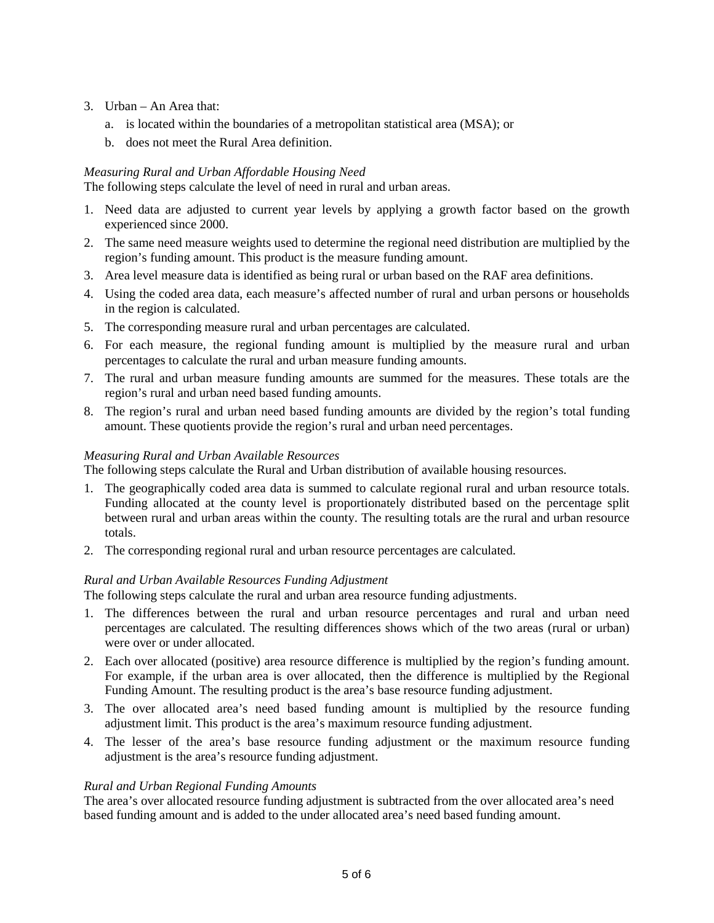- 3. Urban An Area that:
	- a. is located within the boundaries of a metropolitan statistical area (MSA); or
	- b. does not meet the Rural Area definition.

## *Measuring Rural and Urban Affordable Housing Need*

The following steps calculate the level of need in rural and urban areas.

- 1. Need data are adjusted to current year levels by applying a growth factor based on the growth experienced since 2000.
- 2. The same need measure weights used to determine the regional need distribution are multiplied by the region's funding amount. This product is the measure funding amount.
- 3. Area level measure data is identified as being rural or urban based on the RAF area definitions.
- 4. Using the coded area data, each measure's affected number of rural and urban persons or households in the region is calculated.
- 5. The corresponding measure rural and urban percentages are calculated.
- 6. For each measure, the regional funding amount is multiplied by the measure rural and urban percentages to calculate the rural and urban measure funding amounts.
- 7. The rural and urban measure funding amounts are summed for the measures. These totals are the region's rural and urban need based funding amounts.
- 8. The region's rural and urban need based funding amounts are divided by the region's total funding amount. These quotients provide the region's rural and urban need percentages.

## *Measuring Rural and Urban Available Resources*

The following steps calculate the Rural and Urban distribution of available housing resources.

- 1. The geographically coded area data is summed to calculate regional rural and urban resource totals. Funding allocated at the county level is proportionately distributed based on the percentage split between rural and urban areas within the county. The resulting totals are the rural and urban resource totals.
- 2. The corresponding regional rural and urban resource percentages are calculated.

# *Rural and Urban Available Resources Funding Adjustment*

The following steps calculate the rural and urban area resource funding adjustments.

- 1. The differences between the rural and urban resource percentages and rural and urban need percentages are calculated. The resulting differences shows which of the two areas (rural or urban) were over or under allocated.
- 2. Each over allocated (positive) area resource difference is multiplied by the region's funding amount. For example, if the urban area is over allocated, then the difference is multiplied by the Regional Funding Amount. The resulting product is the area's base resource funding adjustment.
- 3. The over allocated area's need based funding amount is multiplied by the resource funding adjustment limit. This product is the area's maximum resource funding adjustment.
- 4. The lesser of the area's base resource funding adjustment or the maximum resource funding adjustment is the area's resource funding adjustment.

## *Rural and Urban Regional Funding Amounts*

The area's over allocated resource funding adjustment is subtracted from the over allocated area's need based funding amount and is added to the under allocated area's need based funding amount.